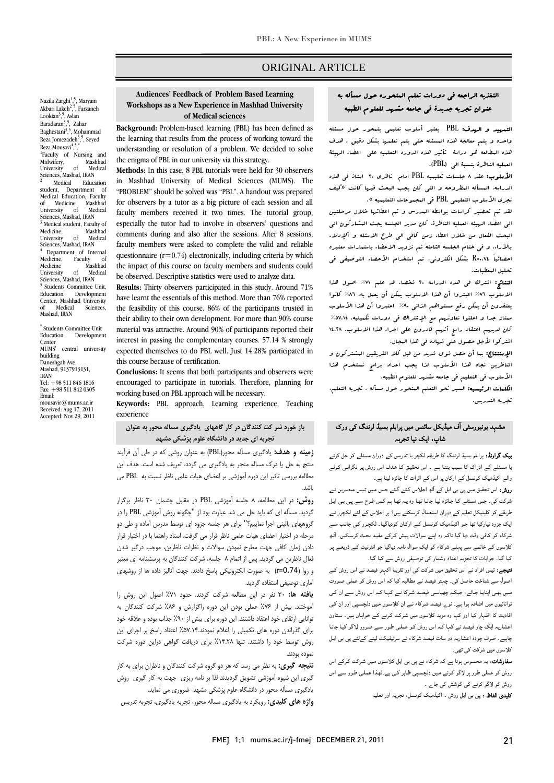### ORIGINAL ARTICLE

# التغذيه الراجعه في دورات تعلم المتحوره حول مسأله به عنوان تجربه جديدة في جامعه مشهد للعلوم الطبيه

Ī  $\overline{a}$ 

 التمهيد و الهدف: PBL يعتبر أسلوب تعليمي يتمحور حول مسئله واحده و يتم معالجة هذه المسئله حتي يتم تعلمها بشكل دقيق . هدف هذه المطالعه هو دراسة تأثير هذه الدوره التعلميه علي اعضاء الهيئة العمليه الناظرة بنسبة الي (PBL(.

 الأسلوب: عقد 8 جلسات تعليميه PBL امام ناظري 30 استاذ في هذه نجريات المسانة المعروبية و التي التال يجب البحث ليريا<br>نجري الأملوب التعليمي PBL في البجبوعات التعليميه ». الدراسه. المسأله المطروحه و التي كان يجب البحث فيها كانت «كيف

 لقد تم تحضير كراسات بواسطه المدرس و تم اعطائها خلال مرحلتين الي اعضاء الهيئه العمليه الناظرة. كان مدير الجلسه يجث المشاركون الي البحث الفعال من خلال اعطاء زمن كافي الي طرح الاسئله و ألإدلاء بالآراء. و في ختام الجلسه الثامنه تم تزويد الاعضاء باستمارات معتبره احصائياَ 0.74=R بشكل الكتروني. تم استخدام الأحصاء التوصيفي في تحليل المعطيات.

حليل البعضيات.<br>**النتائج:** اشترك في هذه الدراسه ٣٠ شخصا. قد علم ٧١٪ اصول هذا السلوم «بعرت في حدد العربي» (1986 من الاسلام به العون عدد العربية)<br>الاسلوب ٧٦٪ اعبتروا أن هذا الاسلوب يمكن أن يعمل به، ٨٦٪ كانوا يعتقدون أن يمكن رفع مستواهم الذاتي %90 اعتبروا أن هذا الأسلوب ممتاز جدا و اعلنوا تعاونهم مع الإشتراك في دورات تكميليه. %57.14 كان لديهم اعتقاد راسخ أنهم قادرون علي اجراء هذا الاسلوب. 14.28 اشتركوا لأجل حصول علي شهاده في هذا المجال.

ا**لإستنتاج:** بـا أن حصل ش<sub>و</sub>ق شديد من قبل كلا الفريقين الـشتركون و<br>. الناظرين تجاه هذا الأسلوب لذا يجب اعداد برامج تستخدم هذا<br>من الأسلوب في التعليم في جامعه مشهد للعلوم الطبيه.

المستحدث عن السيرم في المستشرب من المتحور على المتحدث.<br>**الكلمات الرئيسيه:** السير نحو التعلم المتحور حول مسأله ، تجربه التعلم، تجربه التدريس.

## مشہد یونیورسٹی آف میڈیکل سائنس میں پرابلم بسیڈ لرننگ کی ورک شاپ، ایک نیا تجربہ

 بیک گراونڈ: پرابلم بسیڈ لرننگ کا طریقہ لکچر یا تدریس کے دوران مسئلے کو حل کرنے یا مسئلے کے ادراک کا سـبب بنتـا ہـے ۔ اس تحقیـق کـا ھـدف اس روش پـر نگرانـی کـرنے والے اکیڈمیک کونسل کے ارکان پر اس کے اثرات کا جائزہ لینا ہے۔

 روش: اس تحقیق میں پی بی ایل کے آٹھ اجلـاس کـئے گـئے جـس مـیں تـیس مبصـرین نـے شرکت کی۔ جس مسئلے کـا جـائزہ لیـا جانـا تھـا وہ یـہ تھـا ہـم کـس طـرح سـے پـی بـی ایـل<br>. س سے سی سیسیس سیم سے دوران استعمام ترسامنے ہیں. ہر اجتراس سے سے تاتیزر سے<br>ایک جزوہ تیارکیا تھا جو اکیڈمیک کونسـل کـے ارکـان کودیاگیـا۔ لکچترر کـی جانـب سے شرکاء کو کافی وقت دیا گيا تاکہ وہ اپنے سوالات پـیش کـرکے مفیـد بحـث کرسـکیں۔ آٹـھ کلاسوں کے خاتمے سے پہلے شرکاء کو ایک سوال نامہ دیاگيا جو انٹرنیٹ کـے ذریعـے پـر کیا گيا۔ جوابات کا تجزیہ اعداد وشمار کی توصیفی روش سے کیا گیا۔ طریقے کو کلینیکل تعلیم کے دوران استعمال کرسکتے ہیں؟ ہر اجلاس کے لئے لکچرر نـے

ن**تیجے:** تیس افراد نے اس تحقیق میں شرکت کی اور تقریبا اکہتر فیصد نے اس روش کے<br>۔ اصول سے شناخت حاصل کی۔ چہتر فیصد نے مطالبہ کیا کہ اس روش کو عملی صـورت توانائيوں میں اضافہ ہوا ہے۔ نوے فیصد شـرکاء نـے ان کلاسـوں مـیں دلچسـپی اور ان کـی افادیت کا اظہار کیا اور کہا وہ مزید کلاسوں میں شـرکت کـرنے کـے خواہـاں ہـیں۔ سـتاون اعشاریہ ایک چار فیصد نے کہا کـہ اس روش کـو عملـی طـور سـے ضـرور لـاگو کیـا جانـا چاہیے۔ صرف چودہ اعشاریہ دو سات فیصد شرکاء نے سرٹیفیکٹ لینے کےلئے پی بی ایـل کلاسوں میں شرکت کی تھی۔ مـیں بھـی اپنایـا جـائے، جبکـہ چھیاسـی فیصـد شـرکا نـے کہـا کـہ اس روش سـے ان کـی

سدرسات، یہ مانسوس ہوتا ہے کہ سرتاء کے پی بی این فرنسوں میں سرتات فرنے اس<br>روش کو عملی طور پر لاگو کرنے میں دلچسپی ظاہر کی ہے۔لھذا عملی طور سے اس روش کو لاگو کرنے کی کوشش کی جاے ۔ سفارشات: یہ محسوس ہوتا ہے کہ شرکاء نے پی بی ایل کلاسـوں مـیں شـرکت کـرکے اس

کلیدی الفاظ : پی بی ایل روش ۔ اکیڈمیک کونسل، تجزیہ اور تعلیم

#### U<br>- **Workshops as a New Experience in Mashhad University Audiences' Feedback of Problem Based Learning of Medical sciences**

Ī  $\overline{a}$ 

 **Background:** Problem-based learning (PBL) has been defined as the learning that results from the process of working toward the understanding or resolution of a problem. We decided to solve the enigma of PBL in our university via this strategy.

 **Methods:** In this case, 8 PBL tutorials were held for 30 observers in Mashhad University of Medical Sciences (MUMS). The "PROBLEM" should be solved was "PBL". A handout was prepared faculty members received it two times. The tutorial group, especially the tutor had to involve in observers' questions and comments during and also after the sessions. After 8 sessions, faculty members were asked to complete the valid and reliable the impact of this course on faculty members and students could be observed. Descriptive statistics were used to analyze data. for observers by a tutor as a big picture of each session and all questionnaire  $(r=0.74)$  electronically, including criteria by which

 **Results:** Thirty observers participated in this study. Around 71% have learnt the essentials of this method. More than 76% reported<br>the feasibility of this same  $26\%$  of the methods through in their ability to their own development. For more than 90% course material was attractive. Around 90% of participants reported their interest in passing the complementary courses. 57.14 % strongly expected themselves to do PBL well. Just 14.28% participated in this course because of certification. the feasibility of this course. 86% of the participants trusted in this course because of certification.

 **Conclusions:** It seems that both participants and observers were encouraged to participate in tutorials. Therefore, planning for working based on PBL approach will be necessary.

 **Keywords:** PBL approach, Learning experience, Teaching experience

### **باز خورد شر كت كنندگان در كار گاههاي يادگيري مساله محور به عنوان تجربه اي جديد در دانشگاه علوم پزشكي مشهد**

 **زمينه و هدف:** يادگيري مسأله محور(PBL (به عنوان روشي كه در طي آن فرآيند منتج به حل يا درك مساله منجر به يادگيري مي گردد، تعريف شده است. هدف اين مطالعه بررسي تاثير اين دوره آموزشي بر اعضاي هيات علمي ناظر نسبت به PBL مي باشد.

 **روش:** در اين مطالعه، 8 جلسه آموزشي PBL در مقابل چشمان 30 ناظر برگزار ترتيبه هسته اي ته چيد من مي سد مبارت بود از آچانود روس آموزشي مده از مر<br>گروههاي باليني اجرا نماييم؟" براي هر جلسه جزوه اي توسط مدرس آماده و طي دو مرحله در اختيار اعضاي هيات علمي ناظر قرار مي گرفت. استاد راهنما با در اختيار قرار دادن زمان كافي جهت مطرح نمودن سوالات و نظرات ناظرين، موجب درگير شدن فعال ناظرين مي گرديد. پس از اتمام 8 جلسه، شركت كنندگان به پرسشنامه اي معتبر و روا (0.74=r (به صورت الكترونيكي پاسخ دادند. جهت آناليز داده ها از روشهاي آماري توصيفي استفاده گرديد. گرديد. مسأله اي كه بايد حل مي شد عبارت بود از "چگونه روش آموزشي PBL را در

 **يافته ها:** 30 نفر در اين مطالعه شركت كردند. حدود %71 اصول اين روش را تو عسد بيس از ۲۰۰۰ علمي بودن اين دوره زادرارس و ۳۰۰۰ متر عد عسد دن بد<br>نوانايي ارتقاي خود اعتقاد داشتند. اين دوره براي بيش از ۹۰٪ جذاب بوده و علاقه خود براي گذراندن دوره هاي تكميلي را اعلام نمودند%57.14. اعتقاد راسخ بر اجراي اين روش توسط خود را داشتند. تنها %14.28 براي دريافت گواهي دراين دوره شركت آموختند. بيش از %76 عملي بودن اين دوره راگزارش و %86 شركت كنندگان به نموده بودند.

 **نتيجه گيري:** به نظر مي رسد كه هر دو گروه شركت كنندگان و ناظران براي به كار گيري اين شيوه آموزشي تشويق گرديدند لذا بر نامه ريزي جهت به كار گيري روش يادگيري مسأله محور در دانشگاه علوم پزشكي مشهد ضروري مي نمايد.

**واژه هاي كليدي:** رويكرد به يادگيري مساله محور، تجربه يادگيري، تجربه تدريس

Nazila Zarghi<sup>1, 5</sup>, Maryam<br>Akbari Lakeh<sup>2, 5</sup>, Farzaneh Lookian<sup>3</sup>,<sup>5</sup>, Aslan<br>Baradaran<sup>3</sup>,<sup>5</sup>, Zal , Zahar Baghestani<sup>3</sup>,<sup>5</sup>, Mohammad Reza Jomezadeh<sup>3</sup>,<sup>5</sup>, Seyed Reza Mousavi<sup>4</sup>,<sup>5</sup> , \* <sup>1</sup>Faculty of Nursing and Midwifery, Mashhad<br>University of Medical University of Medical Sciences, Mashad, IRAN 2 Medical Education student, Department of Medical Education, Faculty of Medicine Mashhad University of Medical Sciences, Mashad, IRAN <sup>3</sup> Medical student, Faculty of Medicine, Mashhad<br>University of Medical University of Medical<br>Sciences, Mashad, IRAN<br><sup>4</sup> Department of Internal Department of Internal Medicine, Faculty of Medicine Mashhad<br>Liniversity of Medical University Sciences, Mashad, IRAN Students Committee Unit, Education Development Education Development<br>Center, Mashhad University<br>of Medical Sciences, Medical Mashad, IRAN

\* Students Committee Unit Education Development Center MUMS' central university building Daneshgah Ave. Mashad, 9137913131. IRAN Tel: +98 511 846 1816 Fax: +98 511 842 0305 Email: mousavir@mums.ac.ir Received: Aug 17, 2011 Accepted: Nov 29, 2011

5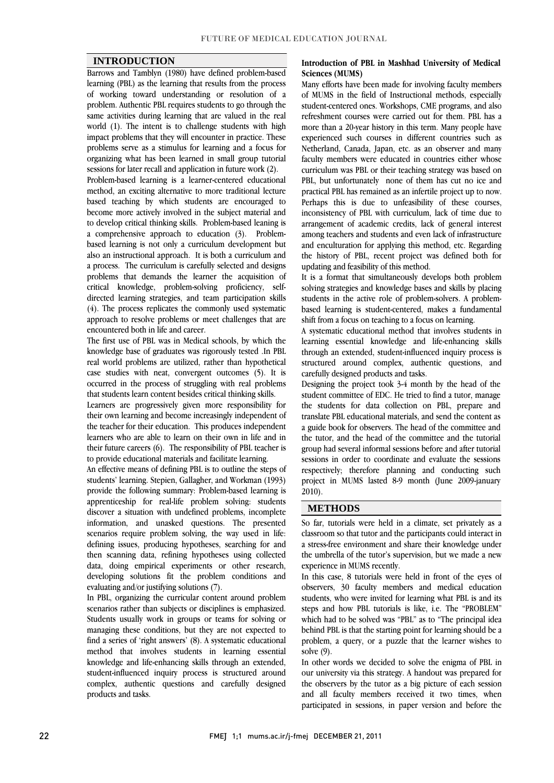#### **INTRODUCTION**

 Barrows and Tamblyn (1980) have defined problem-based learning (PBL) as the learning that results from the process problem. Authentic PBL requires students to go through the same activities during learning that are valued in the real world (1). The intent is to challenge students with high impact problems that they will encounter in practice. These organizing what has been learned in small group tutorial of working toward understanding or resolution of a problems serve as a stimulus for learning and a focus for sessions for later recall and application in future work (2).

 Problem-based learning is a learner-centered educational method, an exciting alternative to more traditional lecture become more actively involved in the subject material and to develop critical thinking skills. Problem-based leaning is a comprehensive approach to education (3). Problem- based learning is not only a curriculum development but a process. The curriculum is carefully selected and designs problems that demands the learner the acquisition of critical knowledge, problem-solving proficiency, selfdirected learning strategies, and team participation skills approach to resolve problems or meet challenges that are based teaching by which students are encouraged to also an instructional approach. It is both a curriculum and (4). The process replicates the commonly used systematic encountered both in life and career.

 The first use of PBL was in Medical schools, by which the real world problems are utilized, rather than hypothetical case studies with neat, convergent outcomes  $(5)$ . It is occurred in the process of struggling with real problems knowledge base of graduates was rigorously tested .In PBL that students learn content besides critical thinking skills.

 their own learning and become increasingly independent of the teacher for their education. This produces independent learners who are able to learn on their own in life and in their future careers (6). The responsibility of PBL teacher is Learners are progressively given more responsibility for to provide educational materials and facilitate learning.

 An effective means of defining PBL is to outline the steps of students' learning. Stepien, Gallagher, and Workman (1993) provide the following summary: Problem-based learning is apprenticeship for real-life problem solving: students information, and unasked questions. The presented scenarios require problem solving, the way used in life: defining issues, producing hypotheses, searching for and then scanning data, refining hypotheses using collected developing solutions fit the problem conditions and discover a situation with undefined problems, incomplete data, doing empirical experiments or other research, evaluating and/or justifying solutions (7).

 In PBL, organizing the curricular content around problem scenarios rather than subjects or disciplines is emphasized.<br>Students usually work in groups or teams for solving or managing these conditions, but they are not expected to find a series of 'right answers' (8). A systematic educational method that involves students in learning essential knowledge and life-enhancing skills through an extended, complex, authentic questions and carefully designed scenarios rather than subjects or disciplines is emphasized. student-influenced inquiry process is structured around products and tasks.

#### **Introduction of PBL in Mashhad University of Medical Sciences (MUMS)**

 Many efforts have been made for involving faculty members student-centered ones. Workshops, CME programs, and also refreshment courses were carried out for them. PBL has a more than a 20-year history in this term. Many people have experienced such courses in different countries such as faculty members were educated in countries either whose curriculum was PBL or their teaching strategy was based on PBL, but unfortunately none of them has cut no ice and practical PBL has remained as an infertile project up to now. inconsistency of PBL with curriculum, lack of time due to arrangement of academic credits, lack of general interest among teachers and students and even lack of infrastructure and enculturation for applying this method, etc. Regarding the history of PBL, recent project was defined both for<br>undating and feasibility of this method of MUMS in the field of Instructional methods, especially Netherland, Canada, Japan, etc. as an observer and many Perhaps this is due to unfeasibility of these courses, updating and feasibility of this method.

It is a format that simultaneously develops both problem It is a format that simultaneously develops both problemsolving strategies and knowledge bases and skills by placing students in the active role of problem-solvers. A problem- based learning is student-centered, makes a fundamental shift from a focus on teaching to a focus on learning.

 A systematic educational method that involves students in learning essential knowledge and life-enhancing skills structured around complex, authentic questions, and through an extended, student-influenced inquiry process is carefully designed products and tasks.

 Designing the project took 3-4 month by the head of the student committee of EDC. He tried to find a tutor, manage translate PBL educational materials, and send the content as a guide book for observers. The head of the committee and the tutor, and the head of the committee and the tutorial group had several informal sessions before and after tutorial respectively; therefore planning and conducting such project in MUMS lasted 8-9 month (June 2009-january the students for data collection on PBL, prepare and sessions in order to coordinate and evaluate the sessions 2010).

#### **METHODS**

 So far, tutorials were held in a climate, set privately as a classroom so that tutor and the participants could interact in a stress-free environment and share their knowledge under the umbrella of the tutor's supervision, but we made a new experience in MUMS recently.

In this case, 8 tutorials were held in front of the eyes of observers, 30 faculty members and medical education students, who were invited for learning what PBL is and its which had to be solved was "PBL" as to "The principal idea behind PBL is that the starting point for learning should be a problem, a query, or a puzzle that the learner wishes to steps and how PBL tutorials is like, i.e. The "PROBLEM" solve (9).

solve (9).<br>In other words we decided to solve the enigma of PBL in our university via this strategy. A handout was prepared for the observers by the tutor as a big picture of each session and all faculty members received it two times, when participated in sessions, in paper version and before the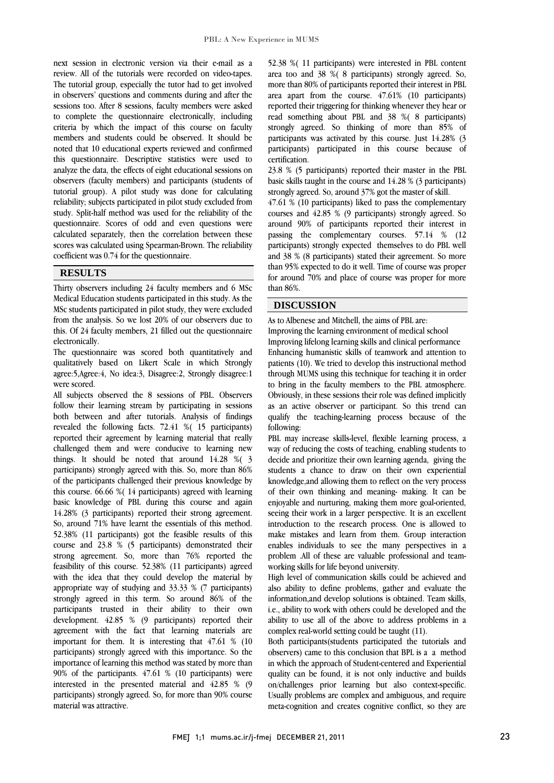$\overline{a}$ 

 next session in electronic version via their e-mail as a review. All of the tutorials were recorded on video-tapes. The tutorial group, especially the tutor had to get involved in observers' questions and comments during and after the to complete the questionnaire electronically, including criteria by which the impact of this course on faculty members and students could be observed. It should be this questionnaire. Descriptive statistics were used to analyze the data, the effects of eight educational sessions on observers (faculty members) and participants (students of tutorial group). A pilot study was done for calculating study. Split-half method was used for the reliability of the questionnaire. Scores of odd and even questions were calculated separately, then the correlation between these scores was calculated using Spearman-Brown. The reliability  $\overline{a}$ sessions too. After 8 sessions, faculty members were asked noted that 10 educational experts reviewed and confirmed reliability; subjects participated in pilot study excluded from coefficient was 0.74 for the questionnaire.

#### **RESULTS**

 Thirty observers including 24 faculty members and 6 MSc Medical Education students participated in this study. As the from the analysis. So we lost 20% of our observers due to this. Of 24 faculty members, 21 filled out the questionnaire MSc students participated in pilot study, they were excluded electronically.

 qualitatively based on Likert Scale in which Strongly agree:5,Agree:4, No idea:3, Disagree:2, Strongly disagree:1 The questionnaire was scored both quantitatively and were scored.

 All subjects observed the 8 sessions of PBL. Observers both between and after tutorials. Analysis of findings revealed the following facts. 72.41 %( 15 participants) reported their agreement by learning material that really challenged them and were conducive to learning new things. It should be noted that around 14.20  $\%$  participants) strongly agreed with this. So, more than 86% of the participants challenged their previous knowledge by this course. 66.66 %( 14 participants) agreed with learning basic knowledge of PBL during this course and again So, around 71% have learnt the essentials of this method. 52.38% (11 participants) got the feasible results of this course and 23.8 % (5 participants) demonstrated their strong agreement. So, more than 76% reported the example of this coulder. Sensor (11 participation) agreed appropriate way of studying and 33.33 % (7 participants) strongly agreed in this term. So around 86% of the participants trusted in their ability to their own agreement with the fact that learning materials are important for them. It is interesting that 47.61 % (10 participants) strongly agreed with this importance. So the mportance of learning this method was stated by more than<br>90% of the participants. 47.61 % (10 participants) were interested in the presented material and 42.85 % (9 participants) strongly agreed. So, for more than 90% course follow their learning stream by participating in sessions things. It should be noted that around 14.28 %( 3 14.28% (3 participants) reported their strong agreement. feasibility of this course. 52.38% (11 participants) agreed development. 42.85 % (9 participants) reported their importance of learning this method was stated by more than material was attractive.

 52.38 %( 11 participants) were interested in PBL content area too and 38 %( 8 participants) strongly agreed. So, more than 80% of participants reported their interest in PBL area apart from the course. 47.61% (10 participants) reported then the second solutions whenever they hear or participants was activated by this course. Just 14.28% (3 participants) participated in this course because of reported their triggering for thinking whenever they hear or strongly agreed. So thinking of more than 85% of certification.

 23.8 % (5 participants) reported their master in the PBL basic skills taught in the course and 14.28 % (3 participants) strongly agreed. So, around 37% got the master of skill.

strongly agreed. So, around 3/% got the master of skill.<br>47.61 % (10 participants) liked to pass the complementary courses and 42.85 % (9 participants) strongly agreed. So around 90% of participants reported their interest in passing the complementary courses. 57.14 % (12 participants) strongly expected themselves to do PBL well than 95% expected to do it well. Time of course was proper for around 70% and place of course was proper for more and 38 % (8 participants) stated their agreement. So more than 86%.

### **DISCUSSION**

As to Albenese and Mitchell, the aims of PBL are: Improving the learning environment of medical school

 Improving lifelong learning skills and clinical performance enhancing numanisuc skills of teamwork and attention to<br>patients (10). We tried to develop this instructional method through MUMS using this technique for teaching it in order to bring in the faculty members to the PBL atmosphere. Obviously, in these sessions their role was defined implicitly as an active observer or participant. So this trend can<br>qualify the teaching-learning process because of the Enhancing humanistic skills of teamwork and attention to as an active observer or participant. So this trend can following:

٦

 PBL may increase skills-level, flexible learning process, a way of reducing the costs of teaching, enabling students to students a chance to draw on their own experiential knowledge,and allowing them to reflect on the very process of their own thinking and meaning- making. It can be enjoyable and nurturing, making them more goal-oriented, introduction to the research process. One is allowed to make mistakes and learn from them. Group interaction enables individuals to see the many perspectives in a problem .All of these are valuable professional and teamdecide and prioritize their own learning agenda, giving the seeing their work in a larger perspective. It is an excellent working skills for life beyond university.

 High level of communication skills could be achieved and also ability to define problems, gather and evaluate the information,and develop solutions is obtained. Team skills, i.e., ability to work with others could be developed and the ability to use all of the above to address problems in a<br>complex real-world setting could be taught (11). complex real-world setting could be taught (11).

 Both participants(students participated the tutorials and observers) came to this conclusion that BPL is a a method In which the approach of student-tentered and experiential<br>quality can be found, it is not only inductive and builds on/challenges prior learning but also context-specific. Usually problems are complex and ambiguous, and require meta-cognition and creates cognitive conflict, so they are in which the approach of Student-centered and Experiential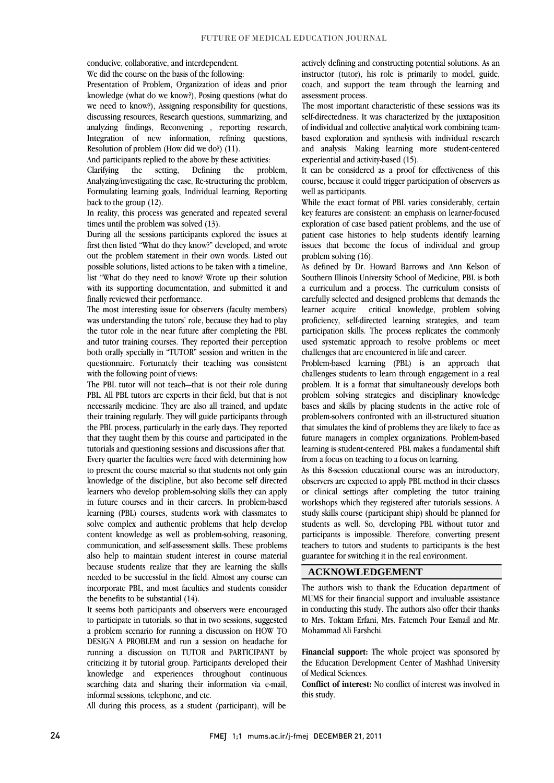conducive, collaborative, and interdependent. We did the course on the basis of the following:

 Presentation of Problem, Organization of ideas and prior knowledge (what do we know?), Posing questions (what do discussing resources, Research questions, summarizing, and analyzing findings, Reconvening , reporting research, Integration of new information, refining questions, we need to know?), Assigning responsibility for questions, Resolution of problem (How did we do?) (11).

And participants replied to the above by these activities:

problem. Analyzing/investigating the case, Re-structuring the problem, Formulating learning goals, Individual learning, Reporting  $\overline{\phantom{a}}$  $Clarifying$  the setting. Defining the back to the group (12).

In reality, this process was generated and repeated several times until the problem was solved (13).

 During all the sessions participants explored the issues at first then listed "What do they know?" developed, and wrote possible solutions, listed actions to be taken with a timeline, list "What do they need to know? Wrote up their solution with its supporting documentation, and submitted it and out the problem statement in their own words. Listed out finally reviewed their performance.

tinally reviewed their pertormance.<br>The most interesting issue for observers (faculty members) was understanding the tutors' role, because they had to play the tutor role in the near future after completing the PBL and tutor training courses. They reported their perception both orally specially in "TUTOR" session and written in the questionnaire. Fortunately their teaching was consistent<br>with the following point of views: with the following point of views:

 The PBL tutor will not teach—that is not their role during PBL. All PBL tutors are experts in their field, but that is not necessarily medicine. They are also all trained, and update the PBL process, particularly in the early days. They reported that they taught them by this course and participated in the tutorials and questioning sessions and discussions after that. Every quarier the ractifies were raced with determining now<br>to present the course material so that students not only gain knowledge of the discipline, but also become self directed learners who develop problem-solving skills they can apply in future courses and in their careers. In problem-based solve complex and authentic problems that help develop content knowledge as well as problem-solving, reasoning, communication, and self-assessment skills. These problems also help to maintain student interest in course material needed to be successful in the field. Almost any course can incorporate PBL, and most faculties and students consider their training regularly. They will guide participants through Every quarter the faculties were faced with determining how learning (PBL) courses, students work with classmates to because students realize that they are learning the skills the benefits to be substantial (14).

 It seems both participants and observers were encouraged a problem scenario for running a discussion on HOW TO DESIGN A PROBLEM and run a session on headache for running a discussion on TUTOR and PARTICIPANT by criticizing it by tutorial group. Participants developed their searching data and sharing their information via e-mail, to participate in tutorials, so that in two sessions, suggested knowledge and experiences throughout continuous informal sessions, telephone, and etc.

All during this process, as a student (participant), will be

 actively defining and constructing potential solutions. As an instructor (tutor), his role is primarily to model, guide, coach, and support the team through the learning and assessment process.

assessment process.<br>The most important characteristic of these sessions was its self-directedness. It was characterized by the juxtaposition of individual and collective analytical work combining team- based exploration and synthesis with individual research and analysis. Making learning more student-centered experiential and activity-based (15).

It can be considered as a proof for effectiveness of this course, because it could trigger participation of observers as well as participants.

while the exact format of rbl. varies considerably, certain<br>key features are consistent: an emphasis on learner-focused exploration of case based patient problems, and the use of patient case histories to help students identify learning issues that become the focus of individual and group While the exact format of PBL varies considerably, certain problem solving (16).

 As defined by Dr. Howard Barrows and Ann Kelson of Southern Illinois University School of Medicine, PBL is both a curriculum and a process. The curriculum consists of carefully selected and designed problems that demands the proficiency, self-directed learning strategies, and team participation skills. The process replicates the commonly used systematic approach to resolve problems or meet learner acquire critical knowledge, problem solving challenges that are encountered in life and career.

cnallenges that are encountered in life and career.<br>Problem-based learning (PBL) is an approach that challenges students to learn through engagement in a real problem. It is a format that simultaneously develops both problem solving strategies and disciplinary knowledge bases and skills by placing students in the active role of that simulates the kind of problems they are likely to face as future managers in complex organizations. Problem-based future managers in complex organizations. Problem-basedlearning is student-centered. PBL makes a fundamental shift problem-solvers confronted with an ill-structured situation from a focus on teaching to a focus on learning.

 As this 8-session educational course was an introductory, observers are expected to apply PBL method in their classes or clinical settings after completing the tutor training workshops which they registered after tutorials sessions. A study skins course (participant sinp) should be planned for<br>students as well. So, developing PBL without tutor and participants is impossible. Therefore, converting present teachers to tutors and students to participants is the best study skills course (participant ship) should be planned for guarantee for switching it in the real environment.

#### **ACKNOWLEDGEMENT**

 The authors wish to thank the Education department of MUMS for their financial support and invaluable assistance in conducting this study. The authors also offer their thanks to Mrs. Toktam Erfani, Mrs. Fatemeh Pour Esmail and Mr. Mohammad Ali Farshchi.

 **Financial support:** The whole project was sponsored by the Education Development Center of Mashhad University<br>of Madiael Sciences of Medical Sciences.

 **Conflict of interest:** No conflict of interest was involved in this study.